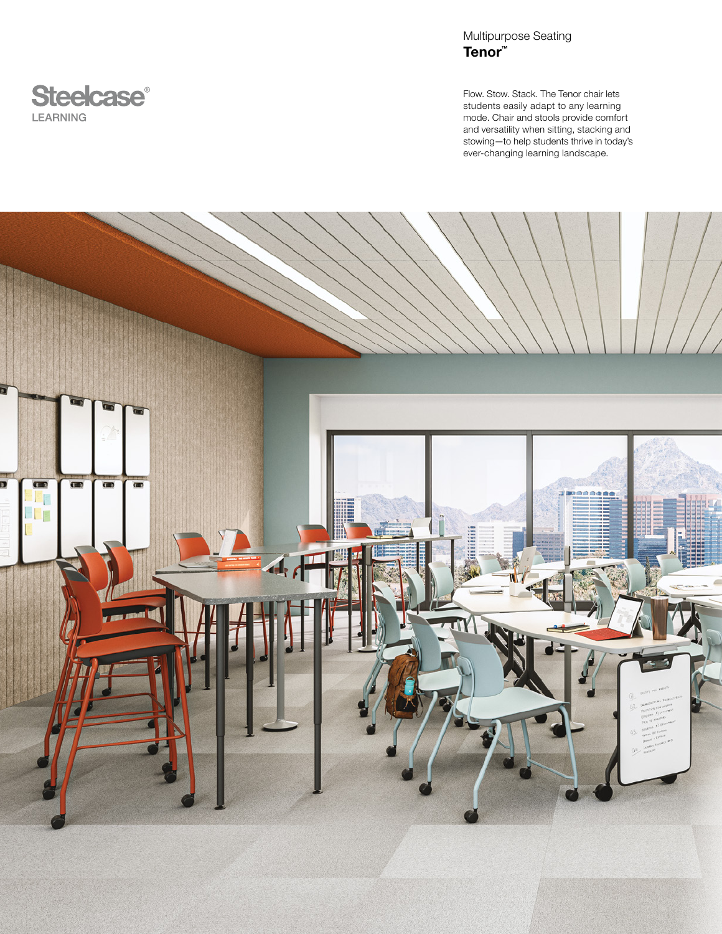

Multipurpose Seating Tenor™

Flow. Stow. Stack. The Tenor chair lets students easily adapt to any learning mode. Chair and stools provide comfort and versatility when sitting, stacking and stowing—to help students thrive in today's ever-changing learning landscape.